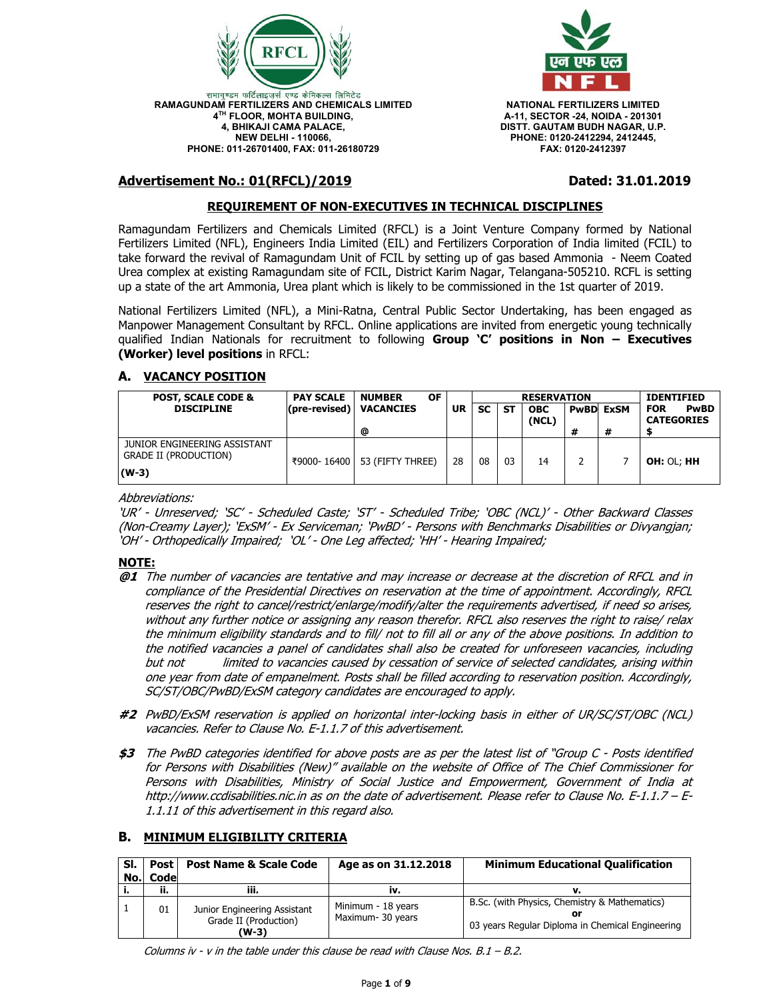



**A-11, SECTOR -24, NOIDA - 201301 DISTT. GAUTAM BUDH NAGAR, U.P. PHONE: 0120-2412294, 2412445, FAX: 0120-2412397** 

# **Advertisement No.: 01(RFCL)/2019 Dated: 31.01.2019**

## **REQUIREMENT OF NON-EXECUTIVES IN TECHNICAL DISCIPLINES**

Ramagundam Fertilizers and Chemicals Limited (RFCL) is a Joint Venture Company formed by National Fertilizers Limited (NFL), Engineers India Limited (EIL) and Fertilizers Corporation of India limited (FCIL) to take forward the revival of Ramagundam Unit of FCIL by setting up of gas based Ammonia - Neem Coated Urea complex at existing Ramagundam site of FCIL, District Karim Nagar, Telangana-505210. RCFL is setting up a state of the art Ammonia, Urea plant which is likely to be commissioned in the 1st quarter of 2019.

National Fertilizers Limited (NFL), a Mini-Ratna, Central Public Sector Undertaking, has been engaged as Manpower Management Consultant by RFCL. Online applications are invited from energetic young technically qualified Indian Nationals for recruitment to following **Group 'C' positions in Non – Executives (Worker) level positions** in RFCL:

## **A. VACANCY POSITION**

| <b>POST, SCALE CODE &amp;</b>                                           | <b>PAY SCALE</b>       | <b>OF</b><br><b>NUMBER</b>     |    | <b>RESERVATION</b> |           |                     |   | <b>IDENTIFIED</b> |                                                |
|-------------------------------------------------------------------------|------------------------|--------------------------------|----|--------------------|-----------|---------------------|---|-------------------|------------------------------------------------|
| <b>DISCIPLINE</b>                                                       | $(\text{pre-revised})$ | <b>VACANCIES</b>               | UR | <b>SC</b>          | <b>ST</b> | <b>OBC</b><br>(NCL) |   | <b>PwBD</b> ExSM  | <b>PwBD</b><br><b>FOR</b><br><b>CATEGORIES</b> |
|                                                                         |                        | @                              |    |                    |           |                     | # | #                 |                                                |
| JUNIOR ENGINEERING ASSISTANT<br><b>GRADE II (PRODUCTION)</b><br>$(W-3)$ |                        | ₹9000-16400   53 (FIFTY THREE) | 28 | 08                 | 03        | 14                  |   |                   | <b>OH: OL; HH</b>                              |

Abbreviations:

'UR' - Unreserved; 'SC' - Scheduled Caste; 'ST' - Scheduled Tribe; 'OBC (NCL)' - Other Backward Classes (Non-Creamy Layer); 'ExSM' - Ex Serviceman; 'PwBD' - Persons with Benchmarks Disabilities or Divyangjan; 'OH' - Orthopedically Impaired; 'OL' - One Leg affected; 'HH' - Hearing Impaired;

#### **NOTE:**

- **@1** The number of vacancies are tentative and may increase or decrease at the discretion of RFCL and in compliance of the Presidential Directives on reservation at the time of appointment. Accordingly, RFCL reserves the right to cancel/restrict/enlarge/modify/alter the requirements advertised, if need so arises, without any further notice or assigning any reason therefor. RFCL also reserves the right to raise/ relax the minimum eligibility standards and to fill/ not to fill all or any of the above positions. In addition to the notified vacancies a panel of candidates shall also be created for unforeseen vacancies, including but not limited to vacancies caused by cessation of service of selected candidates, arising within one year from date of empanelment. Posts shall be filled according to reservation position. Accordingly, SC/ST/OBC/PwBD/ExSM category candidates are encouraged to apply.
- **#2** PwBD/ExSM reservation is applied on horizontal inter-locking basis in either of UR/SC/ST/OBC (NCL) vacancies. Refer to Clause No. E-1.1.7 of this advertisement.
- **\$3** The PwBD categories identified for above posts are as per the latest list of "Group C Posts identified for Persons with Disabilities (New)" available on the website of Office of The Chief Commissioner for Persons with Disabilities, Ministry of Social Justice and Empowerment, Government of India at http://www.ccdisabilities.nic.in as on the date of advertisement. Please refer to Clause No. E-1.1.7 – E-1.1.11 of this advertisement in this regard also.

## **B. MINIMUM ELIGIBILITY CRITERIA**

| SI. | Post     | <b>Post Name &amp; Scale Code</b>                              | Age as on 31.12.2018                    | <b>Minimum Educational Qualification</b>                                                          |
|-----|----------|----------------------------------------------------------------|-----------------------------------------|---------------------------------------------------------------------------------------------------|
|     | No. Code |                                                                |                                         |                                                                                                   |
|     | n.       | iii.                                                           | IV.                                     |                                                                                                   |
|     | 01       | Junior Engineering Assistant<br>Grade II (Production)<br>(W-3) | Minimum - 18 years<br>Maximum- 30 years | B.Sc. (with Physics, Chemistry & Mathematics)<br>03 years Regular Diploma in Chemical Engineering |

Columns iv - v in the table under this clause be read with Clause Nos.  $B.1 - B.2$ .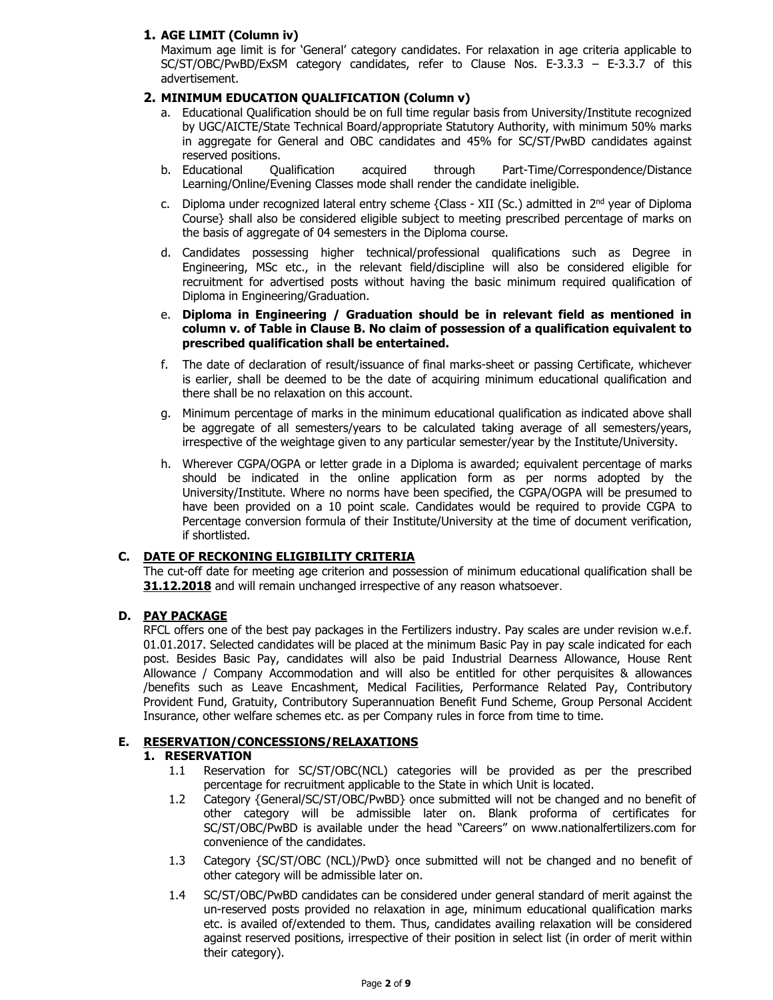## **1. AGE LIMIT (Column iv)**

Maximum age limit is for 'General' category candidates. For relaxation in age criteria applicable to SC/ST/OBC/PwBD/ExSM category candidates, refer to Clause Nos. E-3.3.3 – E-3.3.7 of this advertisement.

## **2. MINIMUM EDUCATION QUALIFICATION (Column v)**

- a. Educational Qualification should be on full time regular basis from University/Institute recognized by UGC/AICTE/State Technical Board/appropriate Statutory Authority, with minimum 50% marks in aggregate for General and OBC candidates and 45% for SC/ST/PwBD candidates against reserved positions.
- b. Educational Qualification acquired through Part-Time/Correspondence/Distance Learning/Online/Evening Classes mode shall render the candidate ineligible.
- c. Diploma under recognized lateral entry scheme {Class XII (Sc.) admitted in 2nd year of Diploma Course} shall also be considered eligible subject to meeting prescribed percentage of marks on the basis of aggregate of 04 semesters in the Diploma course.
- d. Candidates possessing higher technical/professional qualifications such as Degree in Engineering, MSc etc., in the relevant field/discipline will also be considered eligible for recruitment for advertised posts without having the basic minimum required qualification of Diploma in Engineering/Graduation.
- e. **Diploma in Engineering / Graduation should be in relevant field as mentioned in column v. of Table in Clause B. No claim of possession of a qualification equivalent to prescribed qualification shall be entertained.**
- f. The date of declaration of result/issuance of final marks-sheet or passing Certificate, whichever is earlier, shall be deemed to be the date of acquiring minimum educational qualification and there shall be no relaxation on this account.
- g. Minimum percentage of marks in the minimum educational qualification as indicated above shall be aggregate of all semesters/years to be calculated taking average of all semesters/years, irrespective of the weightage given to any particular semester/year by the Institute/University.
- h. Wherever CGPA/OGPA or letter grade in a Diploma is awarded; equivalent percentage of marks should be indicated in the online application form as per norms adopted by the University/Institute. Where no norms have been specified, the CGPA/OGPA will be presumed to have been provided on a 10 point scale. Candidates would be required to provide CGPA to Percentage conversion formula of their Institute/University at the time of document verification, if shortlisted.

# **C. DATE OF RECKONING ELIGIBILITY CRITERIA**

The cut-off date for meeting age criterion and possession of minimum educational qualification shall be **31.12.2018** and will remain unchanged irrespective of any reason whatsoever.

## **D. PAY PACKAGE**

RFCL offers one of the best pay packages in the Fertilizers industry. Pay scales are under revision w.e.f. 01.01.2017. Selected candidates will be placed at the minimum Basic Pay in pay scale indicated for each post. Besides Basic Pay, candidates will also be paid Industrial Dearness Allowance, House Rent Allowance / Company Accommodation and will also be entitled for other perquisites & allowances /benefits such as Leave Encashment, Medical Facilities, Performance Related Pay, Contributory Provident Fund, Gratuity, Contributory Superannuation Benefit Fund Scheme, Group Personal Accident Insurance, other welfare schemes etc. as per Company rules in force from time to time.

## **E. RESERVATION/CONCESSIONS/RELAXATIONS**

## **1. RESERVATION**

- 1.1 Reservation for SC/ST/OBC(NCL) categories will be provided as per the prescribed percentage for recruitment applicable to the State in which Unit is located.
- 1.2 Category {General/SC/ST/OBC/PwBD} once submitted will not be changed and no benefit of other category will be admissible later on. Blank proforma of certificates for SC/ST/OBC/PwBD is available under the head "Careers" on www.nationalfertilizers.com for convenience of the candidates.
- 1.3 Category {SC/ST/OBC (NCL)/PwD} once submitted will not be changed and no benefit of other category will be admissible later on.
- 1.4 SC/ST/OBC/PwBD candidates can be considered under general standard of merit against the un-reserved posts provided no relaxation in age, minimum educational qualification marks etc. is availed of/extended to them. Thus, candidates availing relaxation will be considered against reserved positions, irrespective of their position in select list (in order of merit within their category).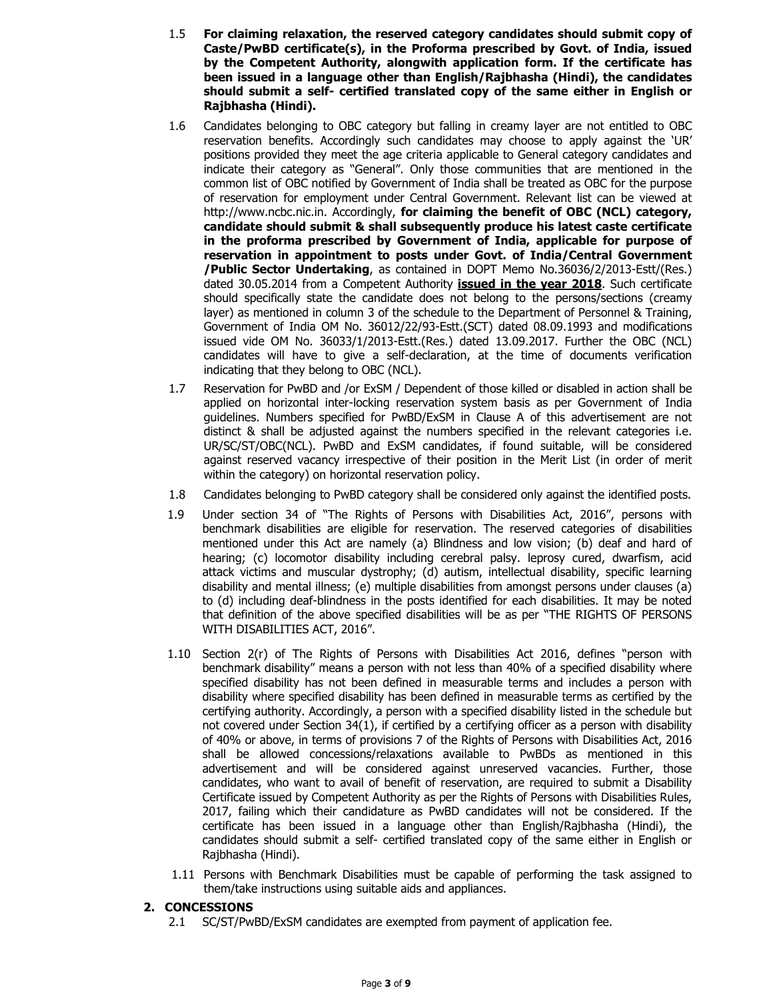- 1.5 **For claiming relaxation, the reserved category candidates should submit copy of Caste/PwBD certificate(s), in the Proforma prescribed by Govt. of India, issued by the Competent Authority, alongwith application form. If the certificate has been issued in a language other than English/Rajbhasha (Hindi), the candidates should submit a self- certified translated copy of the same either in English or Rajbhasha (Hindi).**
- 1.6 Candidates belonging to OBC category but falling in creamy layer are not entitled to OBC reservation benefits. Accordingly such candidates may choose to apply against the 'UR' positions provided they meet the age criteria applicable to General category candidates and indicate their category as "General". Only those communities that are mentioned in the common list of OBC notified by Government of India shall be treated as OBC for the purpose of reservation for employment under Central Government. Relevant list can be viewed at http://www.ncbc.nic.in. Accordingly, **for claiming the benefit of OBC (NCL) category, candidate should submit & shall subsequently produce his latest caste certificate in the proforma prescribed by Government of India, applicable for purpose of reservation in appointment to posts under Govt. of India/Central Government /Public Sector Undertaking**, as contained in DOPT Memo No.36036/2/2013-Estt/(Res.) dated 30.05.2014 from a Competent Authority **issued in the year 2018**. Such certificate should specifically state the candidate does not belong to the persons/sections (creamy layer) as mentioned in column 3 of the schedule to the Department of Personnel & Training, Government of India OM No. 36012/22/93-Estt.(SCT) dated 08.09.1993 and modifications issued vide OM No. 36033/1/2013-Estt.(Res.) dated 13.09.2017. Further the OBC (NCL) candidates will have to give a self-declaration, at the time of documents verification indicating that they belong to OBC (NCL).
- 1.7 Reservation for PwBD and /or ExSM / Dependent of those killed or disabled in action shall be applied on horizontal inter-locking reservation system basis as per Government of India guidelines. Numbers specified for PwBD/ExSM in Clause A of this advertisement are not distinct & shall be adjusted against the numbers specified in the relevant categories i.e. UR/SC/ST/OBC(NCL). PwBD and ExSM candidates, if found suitable, will be considered against reserved vacancy irrespective of their position in the Merit List (in order of merit within the category) on horizontal reservation policy.
- 1.8 Candidates belonging to PwBD category shall be considered only against the identified posts.
- 1.9 Under section 34 of "The Rights of Persons with Disabilities Act, 2016", persons with benchmark disabilities are eligible for reservation. The reserved categories of disabilities mentioned under this Act are namely (a) Blindness and low vision; (b) deaf and hard of hearing; (c) locomotor disability including cerebral palsy. leprosy cured, dwarfism, acid attack victims and muscular dystrophy; (d) autism, intellectual disability, specific learning disability and mental illness; (e) multiple disabilities from amongst persons under clauses (a) to (d) including deaf-blindness in the posts identified for each disabilities. It may be noted that definition of the above specified disabilities will be as per "THE RIGHTS OF PERSONS WITH DISABILITIES ACT, 2016".
- 1.10 Section 2(r) of The Rights of Persons with Disabilities Act 2016, defines "person with benchmark disability" means a person with not less than 40% of a specified disability where specified disability has not been defined in measurable terms and includes a person with disability where specified disability has been defined in measurable terms as certified by the certifying authority. Accordingly, a person with a specified disability listed in the schedule but not covered under Section 34(1), if certified by a certifying officer as a person with disability of 40% or above, in terms of provisions 7 of the Rights of Persons with Disabilities Act, 2016 shall be allowed concessions/relaxations available to PwBDs as mentioned in this advertisement and will be considered against unreserved vacancies. Further, those candidates, who want to avail of benefit of reservation, are required to submit a Disability Certificate issued by Competent Authority as per the Rights of Persons with Disabilities Rules, 2017, failing which their candidature as PwBD candidates will not be considered. If the certificate has been issued in a language other than English/Rajbhasha (Hindi), the candidates should submit a self- certified translated copy of the same either in English or Rajbhasha (Hindi).
- 1.11 Persons with Benchmark Disabilities must be capable of performing the task assigned to them/take instructions using suitable aids and appliances.

#### **2. CONCESSIONS**

2.1 SC/ST/PwBD/ExSM candidates are exempted from payment of application fee.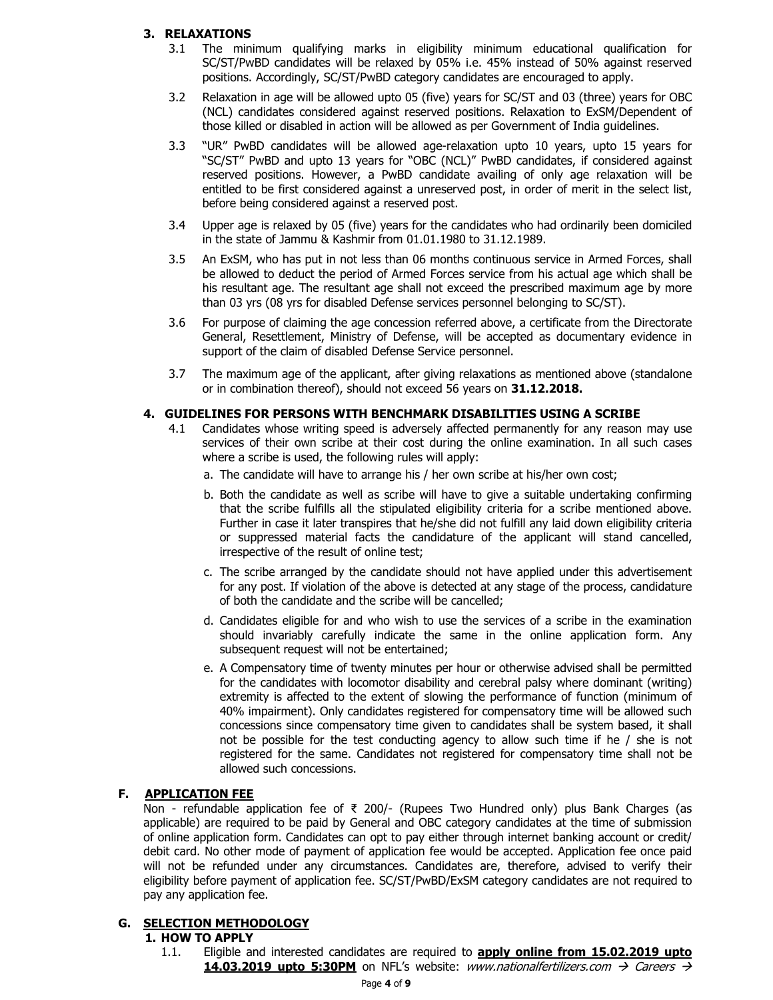## **3. RELAXATIONS**

- 3.1 The minimum qualifying marks in eligibility minimum educational qualification for SC/ST/PwBD candidates will be relaxed by 05% i.e. 45% instead of 50% against reserved positions. Accordingly, SC/ST/PwBD category candidates are encouraged to apply.
- 3.2 Relaxation in age will be allowed upto 05 (five) years for SC/ST and 03 (three) years for OBC (NCL) candidates considered against reserved positions. Relaxation to ExSM/Dependent of those killed or disabled in action will be allowed as per Government of India guidelines.
- 3.3 "UR" PwBD candidates will be allowed age-relaxation upto 10 years, upto 15 years for "SC/ST" PwBD and upto 13 years for "OBC (NCL)" PwBD candidates, if considered against reserved positions. However, a PwBD candidate availing of only age relaxation will be entitled to be first considered against a unreserved post, in order of merit in the select list, before being considered against a reserved post.
- 3.4 Upper age is relaxed by 05 (five) years for the candidates who had ordinarily been domiciled in the state of Jammu & Kashmir from 01.01.1980 to 31.12.1989.
- 3.5 An ExSM, who has put in not less than 06 months continuous service in Armed Forces, shall be allowed to deduct the period of Armed Forces service from his actual age which shall be his resultant age. The resultant age shall not exceed the prescribed maximum age by more than 03 yrs (08 yrs for disabled Defense services personnel belonging to SC/ST).
- 3.6 For purpose of claiming the age concession referred above, a certificate from the Directorate General, Resettlement, Ministry of Defense, will be accepted as documentary evidence in support of the claim of disabled Defense Service personnel.
- 3.7 The maximum age of the applicant, after giving relaxations as mentioned above (standalone or in combination thereof), should not exceed 56 years on **31.12.2018.**

#### **4. GUIDELINES FOR PERSONS WITH BENCHMARK DISABILITIES USING A SCRIBE**

- 4.1 Candidates whose writing speed is adversely affected permanently for any reason may use services of their own scribe at their cost during the online examination. In all such cases where a scribe is used, the following rules will apply:
	- a. The candidate will have to arrange his / her own scribe at his/her own cost;
	- b. Both the candidate as well as scribe will have to give a suitable undertaking confirming that the scribe fulfills all the stipulated eligibility criteria for a scribe mentioned above. Further in case it later transpires that he/she did not fulfill any laid down eligibility criteria or suppressed material facts the candidature of the applicant will stand cancelled, irrespective of the result of online test;
	- c. The scribe arranged by the candidate should not have applied under this advertisement for any post. If violation of the above is detected at any stage of the process, candidature of both the candidate and the scribe will be cancelled;
	- d. Candidates eligible for and who wish to use the services of a scribe in the examination should invariably carefully indicate the same in the online application form. Any subsequent request will not be entertained;
	- e. A Compensatory time of twenty minutes per hour or otherwise advised shall be permitted for the candidates with locomotor disability and cerebral palsy where dominant (writing) extremity is affected to the extent of slowing the performance of function (minimum of 40% impairment). Only candidates registered for compensatory time will be allowed such concessions since compensatory time given to candidates shall be system based, it shall not be possible for the test conducting agency to allow such time if he / she is not registered for the same. Candidates not registered for compensatory time shall not be allowed such concessions.

#### **F. APPLICATION FEE**

Non - refundable application fee of ₹ 200/- (Rupees Two Hundred only) plus Bank Charges (as applicable) are required to be paid by General and OBC category candidates at the time of submission of online application form. Candidates can opt to pay either through internet banking account or credit/ debit card. No other mode of payment of application fee would be accepted. Application fee once paid will not be refunded under any circumstances. Candidates are, therefore, advised to verify their eligibility before payment of application fee. SC/ST/PwBD/ExSM category candidates are not required to pay any application fee.

### **G. SELECTION METHODOLOGY**

#### **1. HOW TO APPLY**

1.1. Eligible and interested candidates are required to **apply online from 15.02.2019 upto 14.03.2019 upto 5:30PM** on NFL's website: www.nationalfertilizers.com  $\rightarrow$  Careers  $\rightarrow$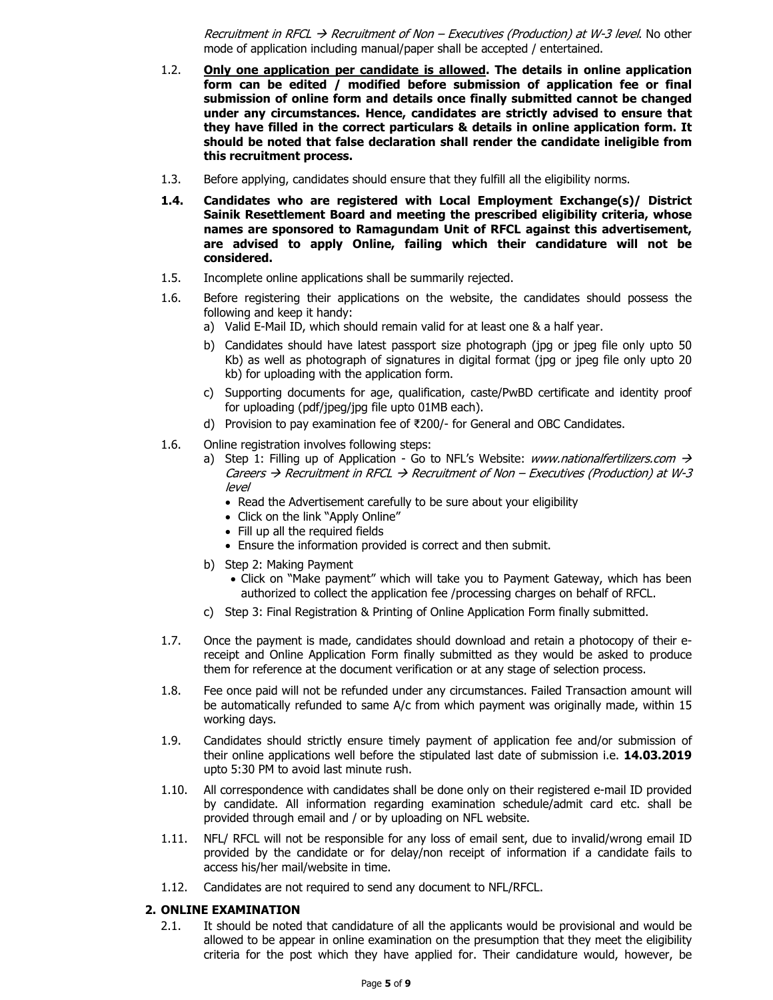Recruitment in RFCL  $\rightarrow$  Recruitment of Non – Executives (Production) at W-3 level. No other mode of application including manual/paper shall be accepted / entertained.

- 1.2. **Only one application per candidate is allowed. The details in online application form can be edited / modified before submission of application fee or final submission of online form and details once finally submitted cannot be changed under any circumstances. Hence, candidates are strictly advised to ensure that they have filled in the correct particulars & details in online application form. It should be noted that false declaration shall render the candidate ineligible from this recruitment process.**
- 1.3. Before applying, candidates should ensure that they fulfill all the eligibility norms.
- **1.4. Candidates who are registered with Local Employment Exchange(s)/ District Sainik Resettlement Board and meeting the prescribed eligibility criteria, whose names are sponsored to Ramagundam Unit of RFCL against this advertisement, are advised to apply Online, failing which their candidature will not be considered.**
- 1.5. Incomplete online applications shall be summarily rejected.
- 1.6. Before registering their applications on the website, the candidates should possess the following and keep it handy:
	- a) Valid E-Mail ID, which should remain valid for at least one & a half year.
	- b) Candidates should have latest passport size photograph (jpg or jpeg file only upto 50 Kb) as well as photograph of signatures in digital format (jpg or jpeg file only upto 20 kb) for uploading with the application form.
	- c) Supporting documents for age, qualification, caste/PwBD certificate and identity proof for uploading (pdf/jpeg/jpg file upto 01MB each).
	- d) Provision to pay examination fee of ₹200/- for General and OBC Candidates.
- 1.6. Online registration involves following steps:
	- a) Step 1: Filling up of Application Go to NFL's Website: www.nationalfertilizers.com  $\rightarrow$ Careers  $\rightarrow$  Recruitment in RFCL  $\rightarrow$  Recruitment of Non – Executives (Production) at W-3 level
		- Read the Advertisement carefully to be sure about your eligibility
		- Click on the link "Apply Online"
		- Fill up all the required fields
		- Ensure the information provided is correct and then submit.
	- b) Step 2: Making Payment
		- Click on "Make payment" which will take you to Payment Gateway, which has been authorized to collect the application fee /processing charges on behalf of RFCL.
	- c) Step 3: Final Registration & Printing of Online Application Form finally submitted.
- 1.7. Once the payment is made, candidates should download and retain a photocopy of their ereceipt and Online Application Form finally submitted as they would be asked to produce them for reference at the document verification or at any stage of selection process.
- 1.8. Fee once paid will not be refunded under any circumstances. Failed Transaction amount will be automatically refunded to same A/c from which payment was originally made, within 15 working days.
- 1.9. Candidates should strictly ensure timely payment of application fee and/or submission of their online applications well before the stipulated last date of submission i.e. **14.03.2019** upto 5:30 PM to avoid last minute rush.
- 1.10. All correspondence with candidates shall be done only on their registered e-mail ID provided by candidate. All information regarding examination schedule/admit card etc. shall be provided through email and / or by uploading on NFL website.
- 1.11. NFL/ RFCL will not be responsible for any loss of email sent, due to invalid/wrong email ID provided by the candidate or for delay/non receipt of information if a candidate fails to access his/her mail/website in time.
- 1.12. Candidates are not required to send any document to NFL/RFCL.

#### **2. ONLINE EXAMINATION**

2.1. It should be noted that candidature of all the applicants would be provisional and would be allowed to be appear in online examination on the presumption that they meet the eligibility criteria for the post which they have applied for. Their candidature would, however, be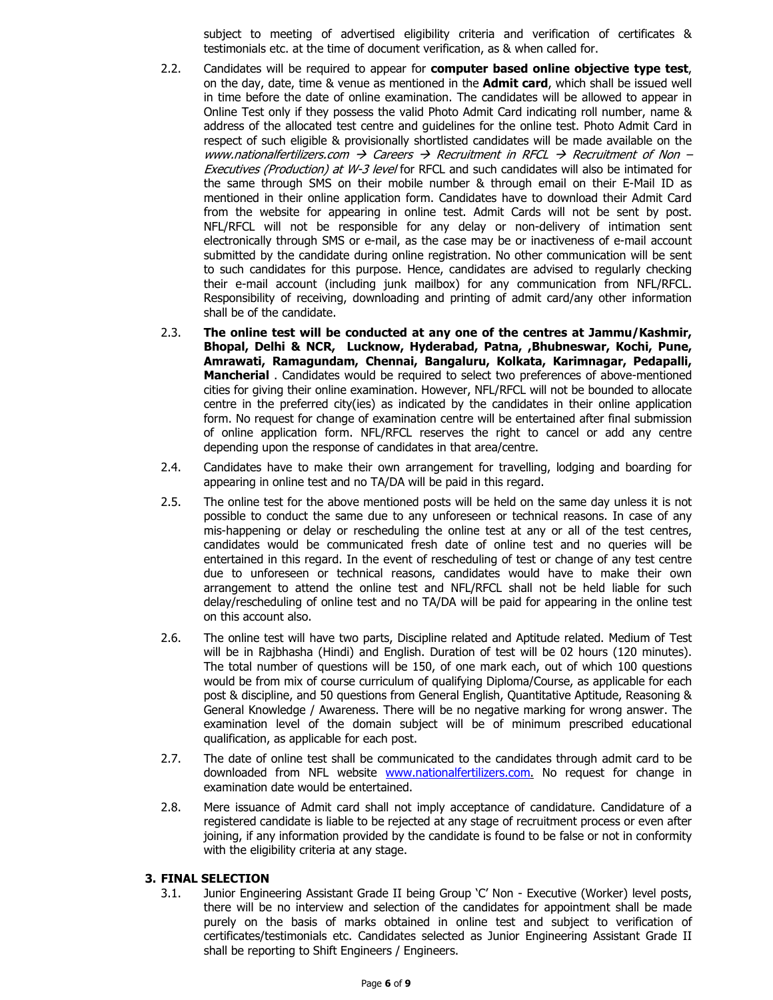subject to meeting of advertised eligibility criteria and verification of certificates & testimonials etc. at the time of document verification, as & when called for.

- 2.2. Candidates will be required to appear for **computer based online objective type test**, on the day, date, time & venue as mentioned in the **Admit card**, which shall be issued well in time before the date of online examination. The candidates will be allowed to appear in Online Test only if they possess the valid Photo Admit Card indicating roll number, name & address of the allocated test centre and guidelines for the online test. Photo Admit Card in respect of such eligible & provisionally shortlisted candidates will be made available on the www.nationalfertilizers.com  $\rightarrow$  Careers  $\rightarrow$  Recruitment in RFCL  $\rightarrow$  Recruitment of Non – Executives (Production) at W-3 level for RFCL and such candidates will also be intimated for the same through SMS on their mobile number & through email on their E-Mail ID as mentioned in their online application form. Candidates have to download their Admit Card from the website for appearing in online test. Admit Cards will not be sent by post. NFL/RFCL will not be responsible for any delay or non-delivery of intimation sent electronically through SMS or e-mail, as the case may be or inactiveness of e-mail account submitted by the candidate during online registration. No other communication will be sent to such candidates for this purpose. Hence, candidates are advised to regularly checking their e-mail account (including junk mailbox) for any communication from NFL/RFCL. Responsibility of receiving, downloading and printing of admit card/any other information shall be of the candidate.
- 2.3. **The online test will be conducted at any one of the centres at Jammu/Kashmir, Bhopal, Delhi & NCR, Lucknow, Hyderabad, Patna, ,Bhubneswar, Kochi, Pune, Amrawati, Ramagundam, Chennai, Bangaluru, Kolkata, Karimnagar, Pedapalli, Mancherial** . Candidates would be required to select two preferences of above-mentioned cities for giving their online examination. However, NFL/RFCL will not be bounded to allocate centre in the preferred city(ies) as indicated by the candidates in their online application form. No request for change of examination centre will be entertained after final submission of online application form. NFL/RFCL reserves the right to cancel or add any centre depending upon the response of candidates in that area/centre.
- 2.4. Candidates have to make their own arrangement for travelling, lodging and boarding for appearing in online test and no TA/DA will be paid in this regard.
- 2.5. The online test for the above mentioned posts will be held on the same day unless it is not possible to conduct the same due to any unforeseen or technical reasons. In case of any mis-happening or delay or rescheduling the online test at any or all of the test centres, candidates would be communicated fresh date of online test and no queries will be entertained in this regard. In the event of rescheduling of test or change of any test centre due to unforeseen or technical reasons, candidates would have to make their own arrangement to attend the online test and NFL/RFCL shall not be held liable for such delay/rescheduling of online test and no TA/DA will be paid for appearing in the online test on this account also.
- 2.6. The online test will have two parts, Discipline related and Aptitude related. Medium of Test will be in Rajbhasha (Hindi) and English. Duration of test will be 02 hours (120 minutes). The total number of questions will be 150, of one mark each, out of which 100 questions would be from mix of course curriculum of qualifying Diploma/Course, as applicable for each post & discipline, and 50 questions from General English, Quantitative Aptitude, Reasoning & General Knowledge / Awareness. There will be no negative marking for wrong answer. The examination level of the domain subject will be of minimum prescribed educational qualification, as applicable for each post.
- 2.7. The date of online test shall be communicated to the candidates through admit card to be downloaded from NFL website www.nationalfertilizers.com. No request for change in examination date would be entertained.
- 2.8. Mere issuance of Admit card shall not imply acceptance of candidature. Candidature of a registered candidate is liable to be rejected at any stage of recruitment process or even after joining, if any information provided by the candidate is found to be false or not in conformity with the eligibility criteria at any stage.

#### **3. FINAL SELECTION**

3.1. Junior Engineering Assistant Grade II being Group 'C' Non - Executive (Worker) level posts, there will be no interview and selection of the candidates for appointment shall be made purely on the basis of marks obtained in online test and subject to verification of certificates/testimonials etc. Candidates selected as Junior Engineering Assistant Grade II shall be reporting to Shift Engineers / Engineers.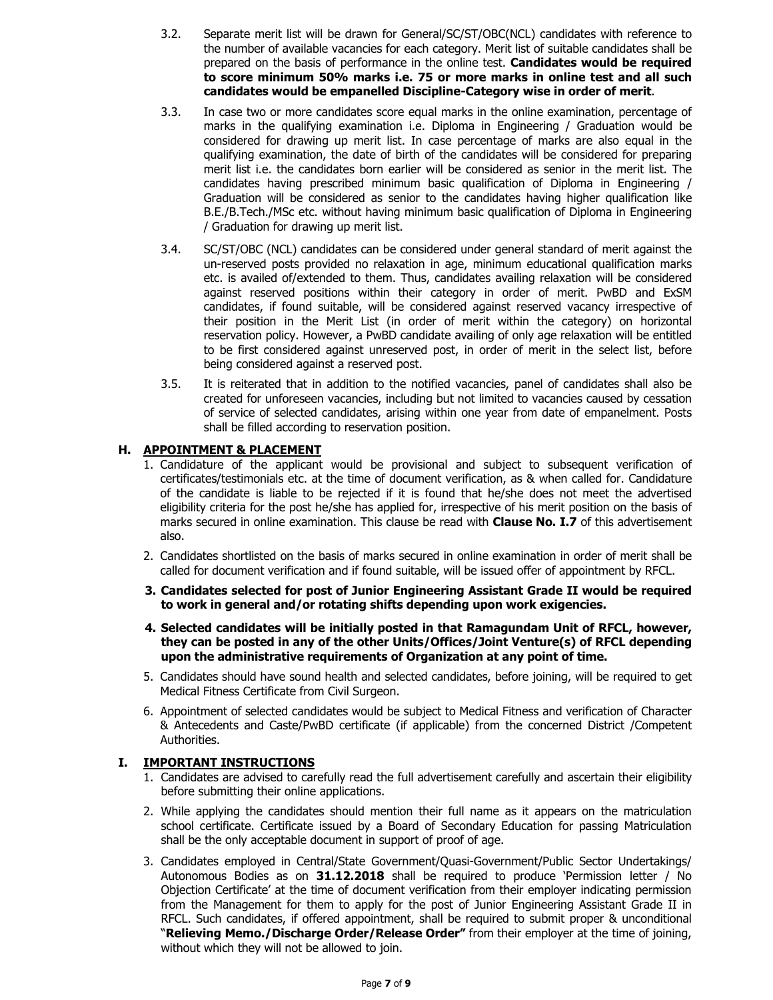- 3.2. Separate merit list will be drawn for General/SC/ST/OBC(NCL) candidates with reference to the number of available vacancies for each category. Merit list of suitable candidates shall be prepared on the basis of performance in the online test. **Candidates would be required to score minimum 50% marks i.e. 75 or more marks in online test and all such candidates would be empanelled Discipline-Category wise in order of merit**.
- 3.3. In case two or more candidates score equal marks in the online examination, percentage of marks in the qualifying examination i.e. Diploma in Engineering / Graduation would be considered for drawing up merit list. In case percentage of marks are also equal in the qualifying examination, the date of birth of the candidates will be considered for preparing merit list i.e. the candidates born earlier will be considered as senior in the merit list. The candidates having prescribed minimum basic qualification of Diploma in Engineering / Graduation will be considered as senior to the candidates having higher qualification like B.E./B.Tech./MSc etc. without having minimum basic qualification of Diploma in Engineering / Graduation for drawing up merit list.
- 3.4. SC/ST/OBC (NCL) candidates can be considered under general standard of merit against the un-reserved posts provided no relaxation in age, minimum educational qualification marks etc. is availed of/extended to them. Thus, candidates availing relaxation will be considered against reserved positions within their category in order of merit. PwBD and ExSM candidates, if found suitable, will be considered against reserved vacancy irrespective of their position in the Merit List (in order of merit within the category) on horizontal reservation policy. However, a PwBD candidate availing of only age relaxation will be entitled to be first considered against unreserved post, in order of merit in the select list, before being considered against a reserved post.
- 3.5. It is reiterated that in addition to the notified vacancies, panel of candidates shall also be created for unforeseen vacancies, including but not limited to vacancies caused by cessation of service of selected candidates, arising within one year from date of empanelment. Posts shall be filled according to reservation position.

## **H. APPOINTMENT & PLACEMENT**

- 1. Candidature of the applicant would be provisional and subject to subsequent verification of certificates/testimonials etc. at the time of document verification, as & when called for. Candidature of the candidate is liable to be rejected if it is found that he/she does not meet the advertised eligibility criteria for the post he/she has applied for, irrespective of his merit position on the basis of marks secured in online examination. This clause be read with **Clause No. I.7** of this advertisement also.
- 2. Candidates shortlisted on the basis of marks secured in online examination in order of merit shall be called for document verification and if found suitable, will be issued offer of appointment by RFCL.
- **3. Candidates selected for post of Junior Engineering Assistant Grade II would be required to work in general and/or rotating shifts depending upon work exigencies.**
- **4. Selected candidates will be initially posted in that Ramagundam Unit of RFCL, however, they can be posted in any of the other Units/Offices/Joint Venture(s) of RFCL depending upon the administrative requirements of Organization at any point of time.**
- 5. Candidates should have sound health and selected candidates, before joining, will be required to get Medical Fitness Certificate from Civil Surgeon.
- 6. Appointment of selected candidates would be subject to Medical Fitness and verification of Character & Antecedents and Caste/PwBD certificate (if applicable) from the concerned District /Competent Authorities.

#### **I. IMPORTANT INSTRUCTIONS**

- 1. Candidates are advised to carefully read the full advertisement carefully and ascertain their eligibility before submitting their online applications.
- 2. While applying the candidates should mention their full name as it appears on the matriculation school certificate. Certificate issued by a Board of Secondary Education for passing Matriculation shall be the only acceptable document in support of proof of age.
- 3. Candidates employed in Central/State Government/Quasi-Government/Public Sector Undertakings/ Autonomous Bodies as on **31.12.2018** shall be required to produce 'Permission letter / No Objection Certificate' at the time of document verification from their employer indicating permission from the Management for them to apply for the post of Junior Engineering Assistant Grade II in RFCL. Such candidates, if offered appointment, shall be required to submit proper & unconditional "**Relieving Memo./Discharge Order/Release Order"** from their employer at the time of joining, without which they will not be allowed to join.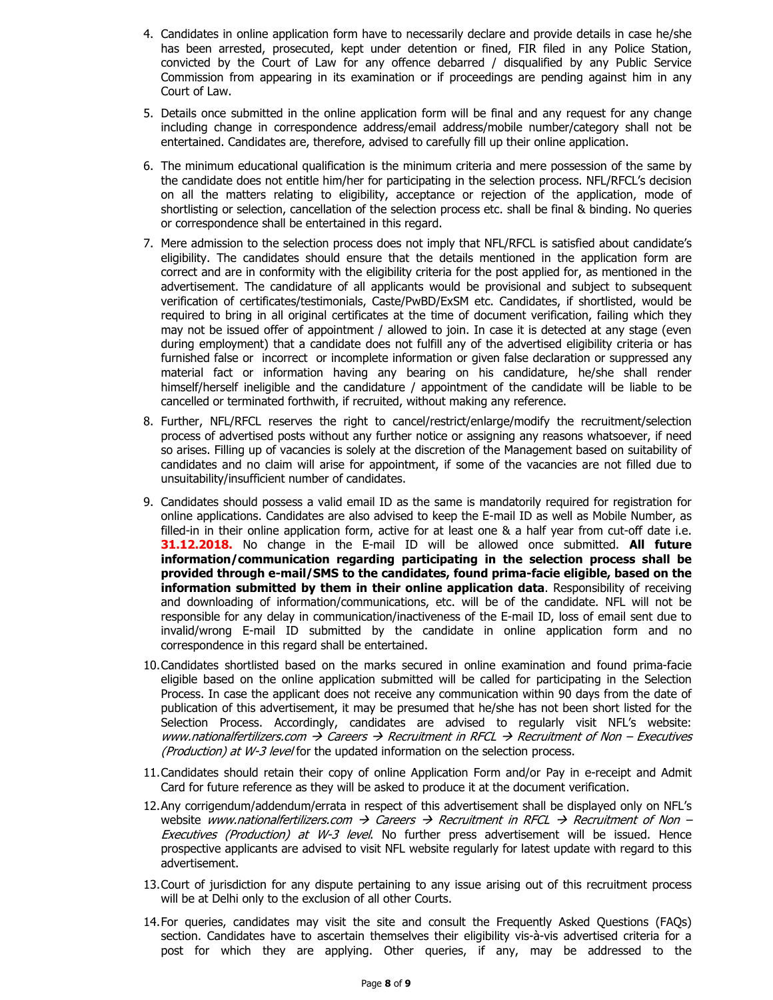- 4. Candidates in online application form have to necessarily declare and provide details in case he/she has been arrested, prosecuted, kept under detention or fined, FIR filed in any Police Station, convicted by the Court of Law for any offence debarred / disqualified by any Public Service Commission from appearing in its examination or if proceedings are pending against him in any Court of Law.
- 5. Details once submitted in the online application form will be final and any request for any change including change in correspondence address/email address/mobile number/category shall not be entertained. Candidates are, therefore, advised to carefully fill up their online application.
- 6. The minimum educational qualification is the minimum criteria and mere possession of the same by the candidate does not entitle him/her for participating in the selection process. NFL/RFCL's decision on all the matters relating to eligibility, acceptance or rejection of the application, mode of shortlisting or selection, cancellation of the selection process etc. shall be final & binding. No queries or correspondence shall be entertained in this regard.
- 7. Mere admission to the selection process does not imply that NFL/RFCL is satisfied about candidate's eligibility. The candidates should ensure that the details mentioned in the application form are correct and are in conformity with the eligibility criteria for the post applied for, as mentioned in the advertisement. The candidature of all applicants would be provisional and subject to subsequent verification of certificates/testimonials, Caste/PwBD/ExSM etc. Candidates, if shortlisted, would be required to bring in all original certificates at the time of document verification, failing which they may not be issued offer of appointment / allowed to join. In case it is detected at any stage (even during employment) that a candidate does not fulfill any of the advertised eligibility criteria or has furnished false or incorrect or incomplete information or given false declaration or suppressed any material fact or information having any bearing on his candidature, he/she shall render himself/herself ineligible and the candidature / appointment of the candidate will be liable to be cancelled or terminated forthwith, if recruited, without making any reference.
- 8. Further, NFL/RFCL reserves the right to cancel/restrict/enlarge/modify the recruitment/selection process of advertised posts without any further notice or assigning any reasons whatsoever, if need so arises. Filling up of vacancies is solely at the discretion of the Management based on suitability of candidates and no claim will arise for appointment, if some of the vacancies are not filled due to unsuitability/insufficient number of candidates.
- 9. Candidates should possess a valid email ID as the same is mandatorily required for registration for online applications. Candidates are also advised to keep the E-mail ID as well as Mobile Number, as filled-in in their online application form, active for at least one & a half year from cut-off date i.e. **31.12.2018.** No change in the E-mail ID will be allowed once submitted. **All future information/communication regarding participating in the selection process shall be provided through e-mail/SMS to the candidates, found prima-facie eligible, based on the information submitted by them in their online application data**. Responsibility of receiving and downloading of information/communications, etc. will be of the candidate. NFL will not be responsible for any delay in communication/inactiveness of the E-mail ID, loss of email sent due to invalid/wrong E-mail ID submitted by the candidate in online application form and no correspondence in this regard shall be entertained.
- 10.Candidates shortlisted based on the marks secured in online examination and found prima-facie eligible based on the online application submitted will be called for participating in the Selection Process. In case the applicant does not receive any communication within 90 days from the date of publication of this advertisement, it may be presumed that he/she has not been short listed for the Selection Process. Accordingly, candidates are advised to regularly visit NFL's website: www.nationalfertilizers.com  $\rightarrow$  Careers  $\rightarrow$  Recruitment in RFCL  $\rightarrow$  Recruitment of Non – Executives (Production) at W-3 level for the updated information on the selection process.
- 11.Candidates should retain their copy of online Application Form and/or Pay in e-receipt and Admit Card for future reference as they will be asked to produce it at the document verification.
- 12.Any corrigendum/addendum/errata in respect of this advertisement shall be displayed only on NFL's website www.nationalfertilizers.com  $\rightarrow$  Careers  $\rightarrow$  Recruitment in RFCL  $\rightarrow$  Recruitment of Non – Executives (Production) at W-3 level. No further press advertisement will be issued. Hence prospective applicants are advised to visit NFL website regularly for latest update with regard to this advertisement.
- 13.Court of jurisdiction for any dispute pertaining to any issue arising out of this recruitment process will be at Delhi only to the exclusion of all other Courts.
- 14.For queries, candidates may visit the site and consult the Frequently Asked Questions (FAQs) section. Candidates have to ascertain themselves their eligibility vis-à-vis advertised criteria for a post for which they are applying. Other queries, if any, may be addressed to the